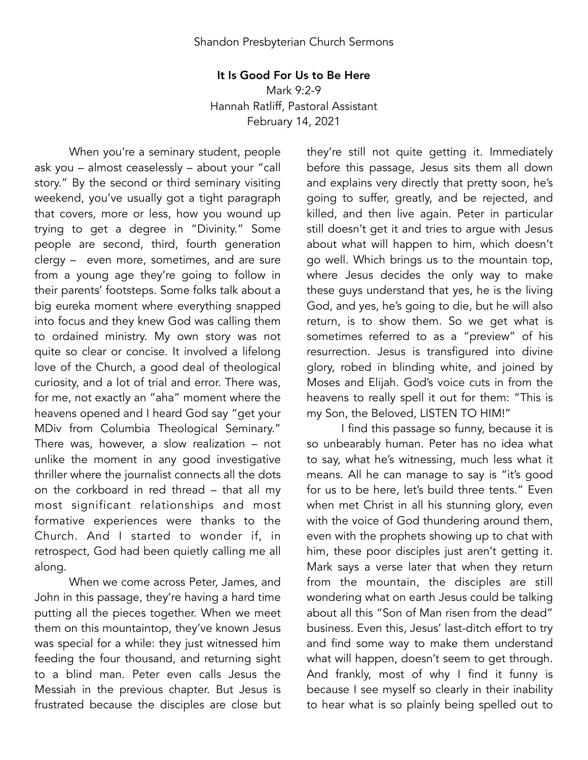## It Is Good For Us to Be Here

Mark 9:2-9 Hannah Ratliff, Pastoral Assistant February 14, 2021

When you're a seminary student, people ask you – almost ceaselessly – about your "call story." By the second or third seminary visiting weekend, you've usually got a tight paragraph that covers, more or less, how you wound up trying to get a degree in "Divinity." Some people are second, third, fourth generation clergy – even more, sometimes, and are sure from a young age they're going to follow in their parents' footsteps. Some folks talk about a big eureka moment where everything snapped into focus and they knew God was calling them to ordained ministry. My own story was not quite so clear or concise. It involved a lifelong love of the Church, a good deal of theological curiosity, and a lot of trial and error. There was, for me, not exactly an "aha" moment where the heavens opened and I heard God say "get your MDiv from Columbia Theological Seminary." There was, however, a slow realization – not unlike the moment in any good investigative thriller where the journalist connects all the dots on the corkboard in red thread – that all my most significant relationships and most formative experiences were thanks to the Church. And I started to wonder if, in retrospect, God had been quietly calling me all along.

When we come across Peter, James, and John in this passage, they're having a hard time putting all the pieces together. When we meet them on this mountaintop, they've known Jesus was special for a while: they just witnessed him feeding the four thousand, and returning sight to a blind man. Peter even calls Jesus the Messiah in the previous chapter. But Jesus is frustrated because the disciples are close but they're still not quite getting it. Immediately before this passage, Jesus sits them all down and explains very directly that pretty soon, he's going to suffer, greatly, and be rejected, and killed, and then live again. Peter in particular still doesn't get it and tries to argue with Jesus about what will happen to him, which doesn't go well. Which brings us to the mountain top, where Jesus decides the only way to make these guys understand that yes, he is the living God, and yes, he's going to die, but he will also return, is to show them. So we get what is sometimes referred to as a "preview" of his resurrection. Jesus is transfigured into divine glory, robed in blinding white, and joined by Moses and Elijah. God's voice cuts in from the heavens to really spell it out for them: "This is my Son, the Beloved, LISTEN TO HIM!"

I find this passage so funny, because it is so unbearably human. Peter has no idea what to say, what he's witnessing, much less what it means. All he can manage to say is "it's good for us to be here, let's build three tents." Even when met Christ in all his stunning glory, even with the voice of God thundering around them, even with the prophets showing up to chat with him, these poor disciples just aren't getting it. Mark says a verse later that when they return from the mountain, the disciples are still wondering what on earth Jesus could be talking about all this "Son of Man risen from the dead" business. Even this, Jesus' last-ditch effort to try and find some way to make them understand what will happen, doesn't seem to get through. And frankly, most of why I find it funny is because I see myself so clearly in their inability to hear what is so plainly being spelled out to